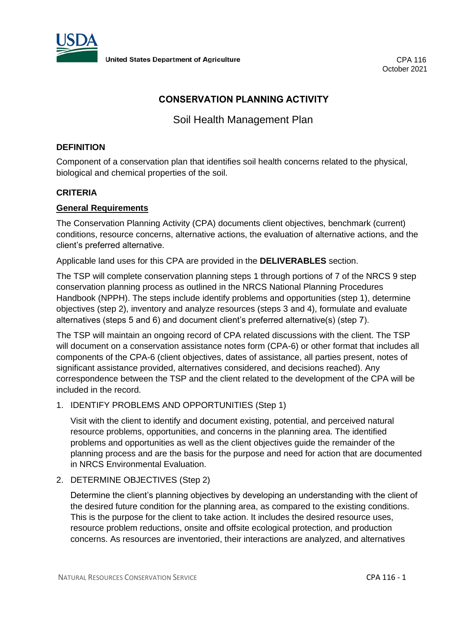

# **CONSERVATION PLANNING ACTIVITY**

Soil Health Management Plan

# **DEFINITION**

Component of a conservation plan that identifies soil health concerns related to the physical, biological and chemical properties of the soil.

# **CRITERIA**

### **General Requirements**

The Conservation Planning Activity (CPA) documents client objectives, benchmark (current) conditions, resource concerns, alternative actions, the evaluation of alternative actions, and the client's preferred alternative.

Applicable land uses for this CPA are provided in the **DELIVERABLES** section.

The TSP will complete conservation planning steps 1 through portions of 7 of the NRCS 9 step conservation planning process as outlined in the NRCS National Planning Procedures Handbook (NPPH). The steps include identify problems and opportunities (step 1), determine objectives (step 2), inventory and analyze resources (steps 3 and 4), formulate and evaluate alternatives (steps 5 and 6) and document client's preferred alternative(s) (step 7).

The TSP will maintain an ongoing record of CPA related discussions with the client. The TSP will document on a conservation assistance notes form (CPA-6) or other format that includes all components of the CPA-6 (client objectives, dates of assistance, all parties present, notes of significant assistance provided, alternatives considered, and decisions reached). Any correspondence between the TSP and the client related to the development of the CPA will be included in the record.

1. IDENTIFY PROBLEMS AND OPPORTUNITIES (Step 1)

Visit with the client to identify and document existing, potential, and perceived natural resource problems, opportunities, and concerns in the planning area. The identified problems and opportunities as well as the client objectives guide the remainder of the planning process and are the basis for the purpose and need for action that are documented in NRCS Environmental Evaluation.

# 2. DETERMINE OBJECTIVES (Step 2)

Determine the client's planning objectives by developing an understanding with the client of the desired future condition for the planning area, as compared to the existing conditions. This is the purpose for the client to take action. It includes the desired resource uses, resource problem reductions, onsite and offsite ecological protection, and production concerns. As resources are inventoried, their interactions are analyzed, and alternatives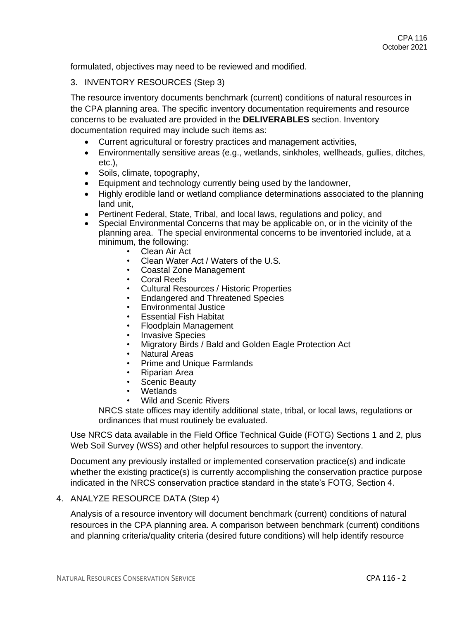formulated, objectives may need to be reviewed and modified.

#### 3. INVENTORY RESOURCES (Step 3)

The resource inventory documents benchmark (current) conditions of natural resources in the CPA planning area. The specific inventory documentation requirements and resource concerns to be evaluated are provided in the **DELIVERABLES** section. Inventory documentation required may include such items as:

- Current agricultural or forestry practices and management activities,
- Environmentally sensitive areas (e.g., wetlands, sinkholes, wellheads, gullies, ditches, etc.),
- Soils, climate, topography,
- Equipment and technology currently being used by the landowner,
- Highly erodible land or wetland compliance determinations associated to the planning land unit,
- Pertinent Federal, State, Tribal, and local laws, regulations and policy, and
- Special Environmental Concerns that may be applicable on, or in the vicinity of the planning area. The special environmental concerns to be inventoried include, at a minimum, the following:
	- Clean Air Act
	- Clean Water Act / Waters of the U.S.
	- Coastal Zone Management
	- Coral Reefs
	- Cultural Resources / Historic Properties
	- Endangered and Threatened Species
	- Environmental Justice
	- Essential Fish Habitat
	- Floodplain Management
	- **Invasive Species**
	- Migratory Birds / Bald and Golden Eagle Protection Act
	- Natural Areas
	- Prime and Unique Farmlands
	- Riparian Area
	- Scenic Beauty
	- Wetlands
	- Wild and Scenic Rivers

NRCS state offices may identify additional state, tribal, or local laws, regulations or ordinances that must routinely be evaluated.

Use NRCS data available in the Field Office Technical Guide (FOTG) Sections 1 and 2, plus Web Soil Survey (WSS) and other helpful resources to support the inventory.

Document any previously installed or implemented conservation practice(s) and indicate whether the existing practice(s) is currently accomplishing the conservation practice purpose indicated in the NRCS conservation practice standard in the state's FOTG, Section 4.

#### 4. ANALYZE RESOURCE DATA (Step 4)

Analysis of a resource inventory will document benchmark (current) conditions of natural resources in the CPA planning area. A comparison between benchmark (current) conditions and planning criteria/quality criteria (desired future conditions) will help identify resource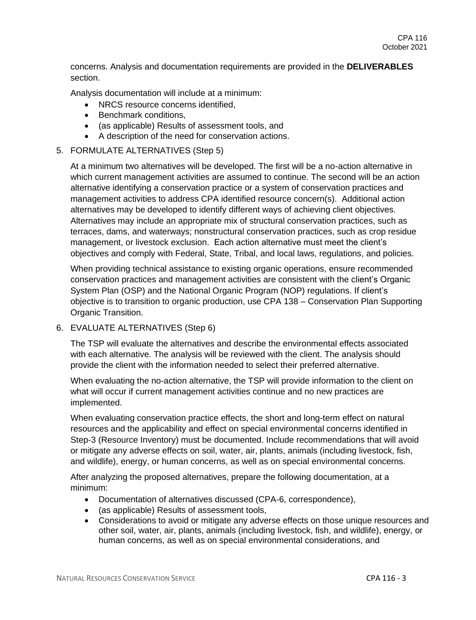concerns. Analysis and documentation requirements are provided in the **DELIVERABLES** section.

Analysis documentation will include at a minimum:

- NRCS resource concerns identified.
- Benchmark conditions,
- (as applicable) Results of assessment tools, and
- A description of the need for conservation actions.

# 5. FORMULATE ALTERNATIVES (Step 5)

At a minimum two alternatives will be developed. The first will be a no-action alternative in which current management activities are assumed to continue. The second will be an action alternative identifying a conservation practice or a system of conservation practices and management activities to address CPA identified resource concern(s). Additional action alternatives may be developed to identify different ways of achieving client objectives. Alternatives may include an appropriate mix of structural conservation practices, such as terraces, dams, and waterways; nonstructural conservation practices, such as crop residue management, or livestock exclusion. Each action alternative must meet the client's objectives and comply with Federal, State, Tribal, and local laws, regulations, and policies.

When providing technical assistance to existing organic operations, ensure recommended conservation practices and management activities are consistent with the client's Organic System Plan (OSP) and the National Organic Program (NOP) regulations. If client's objective is to transition to organic production, use CPA 138 – Conservation Plan Supporting Organic Transition.

# 6. EVALUATE ALTERNATIVES (Step 6)

The TSP will evaluate the alternatives and describe the environmental effects associated with each alternative. The analysis will be reviewed with the client. The analysis should provide the client with the information needed to select their preferred alternative.

When evaluating the no-action alternative, the TSP will provide information to the client on what will occur if current management activities continue and no new practices are implemented.

When evaluating conservation practice effects, the short and long-term effect on natural resources and the applicability and effect on special environmental concerns identified in Step-3 (Resource Inventory) must be documented. Include recommendations that will avoid or mitigate any adverse effects on soil, water, air, plants, animals (including livestock, fish, and wildlife), energy, or human concerns, as well as on special environmental concerns.

After analyzing the proposed alternatives, prepare the following documentation, at a minimum:

- Documentation of alternatives discussed (CPA-6, correspondence),
- (as applicable) Results of assessment tools,
- Considerations to avoid or mitigate any adverse effects on those unique resources and other soil, water, air, plants, animals (including livestock, fish, and wildlife), energy, or human concerns, as well as on special environmental considerations, and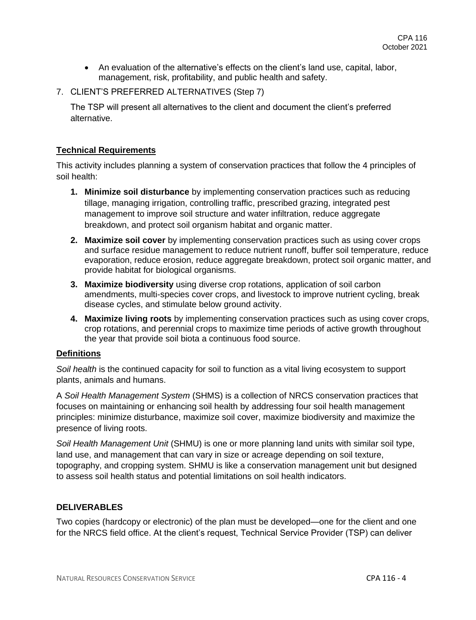- An evaluation of the alternative's effects on the client's land use, capital, labor, management, risk, profitability, and public health and safety.
- 7. CLIENT'S PREFERRED ALTERNATIVES (Step 7)

The TSP will present all alternatives to the client and document the client's preferred alternative.

# **Technical Requirements**

This activity includes planning a system of conservation practices that follow the 4 principles of soil health:

- **1. Minimize soil disturbance** by implementing conservation practices such as reducing tillage, managing irrigation, controlling traffic, prescribed grazing, integrated pest management to improve soil structure and water infiltration, reduce aggregate breakdown, and protect soil organism habitat and organic matter.
- **2. Maximize soil cover** by implementing conservation practices such as using cover crops and surface residue management to reduce nutrient runoff, buffer soil temperature, reduce evaporation, reduce erosion, reduce aggregate breakdown, protect soil organic matter, and provide habitat for biological organisms.
- **3. Maximize biodiversity** using diverse crop rotations, application of soil carbon amendments, multi-species cover crops, and livestock to improve nutrient cycling, break disease cycles, and stimulate below ground activity.
- **4. Maximize living roots** by implementing conservation practices such as using cover crops, crop rotations, and perennial crops to maximize time periods of active growth throughout the year that provide soil biota a continuous food source.

### **Definitions**

*Soil health* is the continued capacity for soil to function as a vital living ecosystem to support plants, animals and humans.

A *Soil Health Management System* (SHMS) is a collection of NRCS conservation practices that focuses on maintaining or enhancing soil health by addressing four soil health management principles: minimize disturbance, maximize soil cover, maximize biodiversity and maximize the presence of living roots.

*Soil Health Management Unit* (SHMU) is one or more planning land units with similar soil type, land use, and management that can vary in size or acreage depending on soil texture, topography, and cropping system. SHMU is like a conservation management unit but designed to assess soil health status and potential limitations on soil health indicators.

### **DELIVERABLES**

Two copies (hardcopy or electronic) of the plan must be developed—one for the client and one for the NRCS field office. At the client's request, Technical Service Provider (TSP) can deliver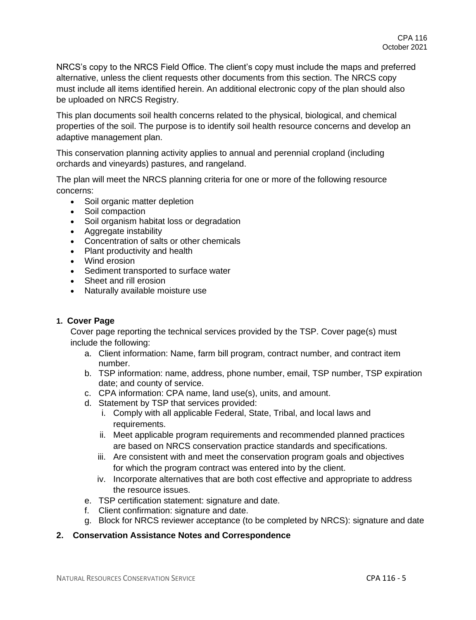NRCS's copy to the NRCS Field Office. The client's copy must include the maps and preferred alternative, unless the client requests other documents from this section. The NRCS copy must include all items identified herein. An additional electronic copy of the plan should also be uploaded on NRCS Registry.

This plan documents soil health concerns related to the physical, biological, and chemical properties of the soil. The purpose is to identify soil health resource concerns and develop an adaptive management plan.

This conservation planning activity applies to annual and perennial cropland (including orchards and vineyards) pastures, and rangeland.

The plan will meet the NRCS planning criteria for one or more of the following resource concerns:

- Soil organic matter depletion
- Soil compaction
- Soil organism habitat loss or degradation
- Aggregate instability
- Concentration of salts or other chemicals
- Plant productivity and health
- Wind erosion
- Sediment transported to surface water
- Sheet and rill erosion
- Naturally available moisture use

### **1. Cover Page**

Cover page reporting the technical services provided by the TSP. Cover page(s) must include the following:

- a. Client information: Name, farm bill program, contract number, and contract item number.
- b. TSP information: name, address, phone number, email, TSP number, TSP expiration date; and county of service.
- c. CPA information: CPA name, land use(s), units, and amount.
- d. Statement by TSP that services provided:
	- i. Comply with all applicable Federal, State, Tribal, and local laws and requirements.
	- ii. Meet applicable program requirements and recommended planned practices are based on NRCS conservation practice standards and specifications.
	- iii. Are consistent with and meet the conservation program goals and objectives for which the program contract was entered into by the client.
	- iv. Incorporate alternatives that are both cost effective and appropriate to address the resource issues.
- e. TSP certification statement: signature and date.
- f. Client confirmation: signature and date.
- g. Block for NRCS reviewer acceptance (to be completed by NRCS): signature and date

### **2. Conservation Assistance Notes and Correspondence**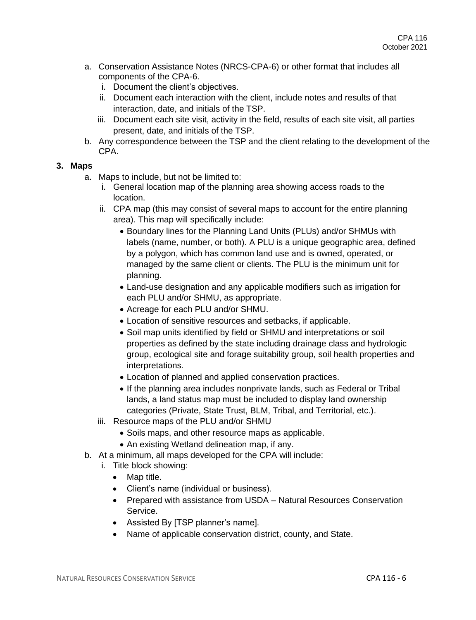- a. Conservation Assistance Notes (NRCS-CPA-6) or other format that includes all components of the CPA-6.
	- i. Document the client's objectives.
	- ii. Document each interaction with the client, include notes and results of that interaction, date, and initials of the TSP.
	- iii. Document each site visit, activity in the field, results of each site visit, all parties present, date, and initials of the TSP.
- b. Any correspondence between the TSP and the client relating to the development of the CPA.

# **3. Maps**

- a. Maps to include, but not be limited to:
	- i. General location map of the planning area showing access roads to the location.
	- ii. CPA map (this may consist of several maps to account for the entire planning area). This map will specifically include:
		- Boundary lines for the Planning Land Units (PLUs) and/or SHMUs with labels (name, number, or both). A PLU is a unique geographic area, defined by a polygon, which has common land use and is owned, operated, or managed by the same client or clients. The PLU is the minimum unit for planning.
		- Land-use designation and any applicable modifiers such as irrigation for each PLU and/or SHMU, as appropriate.
		- Acreage for each PLU and/or SHMU.
		- Location of sensitive resources and setbacks, if applicable.
		- Soil map units identified by field or SHMU and interpretations or soil properties as defined by the state including drainage class and hydrologic group, ecological site and forage suitability group, soil health properties and interpretations.
		- Location of planned and applied conservation practices.
		- If the planning area includes nonprivate lands, such as Federal or Tribal lands, a land status map must be included to display land ownership categories (Private, State Trust, BLM, Tribal, and Territorial, etc.).
	- iii. Resource maps of the PLU and/or SHMU
		- Soils maps, and other resource maps as applicable.
		- An existing Wetland delineation map, if any.
- b. At a minimum, all maps developed for the CPA will include:
	- i. Title block showing:
		- Map title.
		- Client's name (individual or business).
		- Prepared with assistance from USDA Natural Resources Conservation Service.
		- Assisted By [TSP planner's name].
		- Name of applicable conservation district, county, and State.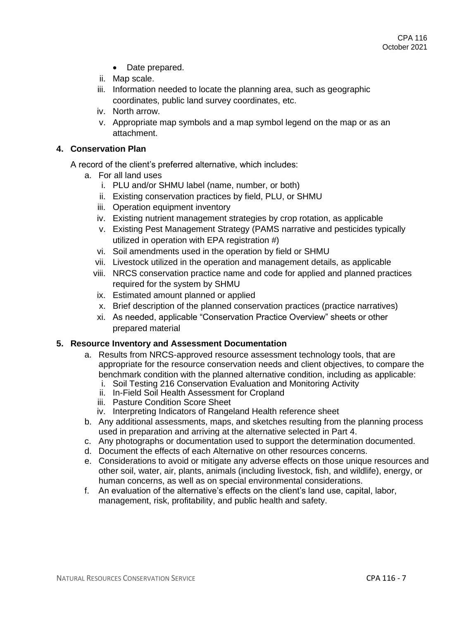- Date prepared.
- ii. Map scale.
- iii. Information needed to locate the planning area, such as geographic coordinates, public land survey coordinates, etc.
- iv. North arrow.
- v. Appropriate map symbols and a map symbol legend on the map or as an attachment.

# **4. Conservation Plan**

A record of the client's preferred alternative, which includes:

- a. For all land uses
	- i. PLU and/or SHMU label (name, number, or both)
	- ii. Existing conservation practices by field, PLU, or SHMU
	- iii. Operation equipment inventory
	- iv. Existing nutrient management strategies by crop rotation, as applicable
	- v. Existing Pest Management Strategy (PAMS narrative and pesticides typically utilized in operation with EPA registration #)
	- vi. Soil amendments used in the operation by field or SHMU
	- vii. Livestock utilized in the operation and management details, as applicable
	- viii. NRCS conservation practice name and code for applied and planned practices required for the system by SHMU
	- ix. Estimated amount planned or applied
	- x. Brief description of the planned conservation practices (practice narratives)
	- xi. As needed, applicable "Conservation Practice Overview" sheets or other prepared material

### **5. Resource Inventory and Assessment Documentation**

- a. Results from NRCS-approved resource assessment technology tools, that are appropriate for the resource conservation needs and client objectives, to compare the benchmark condition with the planned alternative condition, including as applicable: i. Soil Testing 216 Conservation Evaluation and Monitoring Activity
	- ii. In-Field Soil Health Assessment for Cropland
	- iii. Pasture Condition Score Sheet
	- iv. Interpreting Indicators of Rangeland Health reference sheet
- b. Any additional assessments, maps, and sketches resulting from the planning process used in preparation and arriving at the alternative selected in Part 4.
- c. Any photographs or documentation used to support the determination documented.
- d. Document the effects of each Alternative on other resources concerns.
- e. Considerations to avoid or mitigate any adverse effects on those unique resources and other soil, water, air, plants, animals (including livestock, fish, and wildlife), energy, or human concerns, as well as on special environmental considerations.
- f. An evaluation of the alternative's effects on the client's land use, capital, labor, management, risk, profitability, and public health and safety.